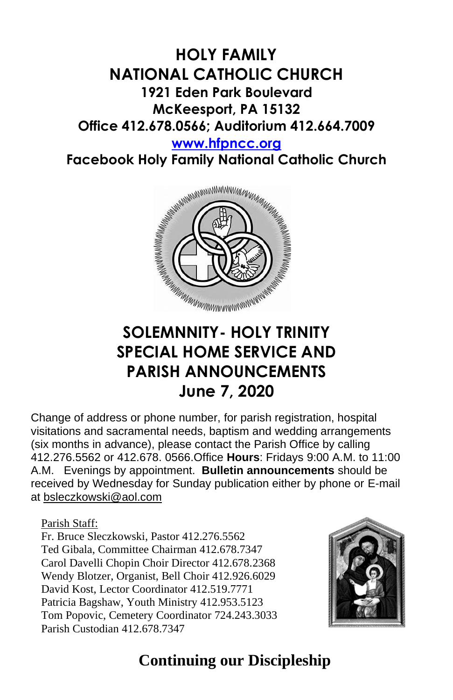# **HOLY FAMILY NATIONAL CATHOLIC CHURCH 1921 Eden Park Boulevard McKeesport, PA 15132 Office 412.678.0566; Auditorium 412.664.7009**

**[www.hfpncc.org](http://www.hfpncc.org/)**

**Facebook Holy Family National Catholic Church**



# **SOLEMNNITY- HOLY TRINITY SPECIAL HOME SERVICE AND PARISH ANNOUNCEMENTS June 7, 2020**

Change of address or phone number, for parish registration, hospital visitations and sacramental needs, baptism and wedding arrangements (six months in advance), please contact the Parish Office by calling 412.276.5562 or 412.678. 0566.Office **Hours**: Fridays 9:00 A.M. to 11:00 A.M. Evenings by appointment. **Bulletin announcements** should be received by Wednesday for Sunday publication either by phone or E-mail at [bsleczkowski@aol.com](mailto:bsleczkowski@aol.com)

Parish Staff:

Fr. Bruce Sleczkowski, Pastor 412.276.5562 Ted Gibala, Committee Chairman 412.678.7347 Carol Davelli Chopin Choir Director 412.678.2368 Wendy Blotzer, Organist, Bell Choir 412.926.6029 David Kost, Lector Coordinator 412.519.7771 Patricia Bagshaw, Youth Ministry 412.953.5123 Tom Popovic, Cemetery Coordinator 724.243.3033 Parish Custodian 412.678.7347



## **Continuing our Discipleship**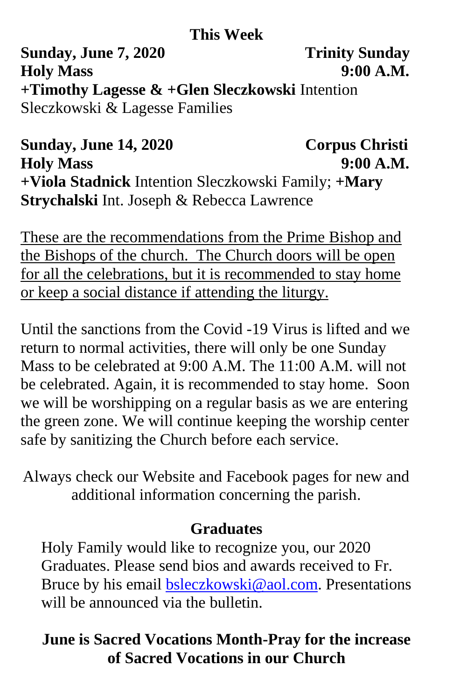#### **This Week**

**Sunday, June 7, 2020** Trinity Sunday **Holy Mass 9:00 A.M. +Timothy Lagesse & +Glen Sleczkowski** Intention Sleczkowski & Lagesse Families

**Sunday, June 14, 2020 Corpus Christi Holy Mass 9:00 A.M. +Viola Stadnick** Intention Sleczkowski Family; **+Mary Strychalski** Int. Joseph & Rebecca Lawrence

These are the recommendations from the Prime Bishop and the Bishops of the church. The Church doors will be open for all the celebrations, but it is recommended to stay home or keep a social distance if attending the liturgy.

Until the sanctions from the Covid -19 Virus is lifted and we return to normal activities, there will only be one Sunday Mass to be celebrated at 9:00 A.M. The 11:00 A.M. will not be celebrated. Again, it is recommended to stay home. Soon we will be worshipping on a regular basis as we are entering the green zone. We will continue keeping the worship center safe by sanitizing the Church before each service.

Always check our Website and Facebook pages for new and additional information concerning the parish.

#### **Graduates**

Holy Family would like to recognize you, our 2020 Graduates. Please send bios and awards received to Fr. Bruce by his email [bsleczkowski@aol.com.](mailto:bsleczkowski@aol.com) Presentations will be announced via the bulletin.

### **June is Sacred Vocations Month-Pray for the increase of Sacred Vocations in our Church**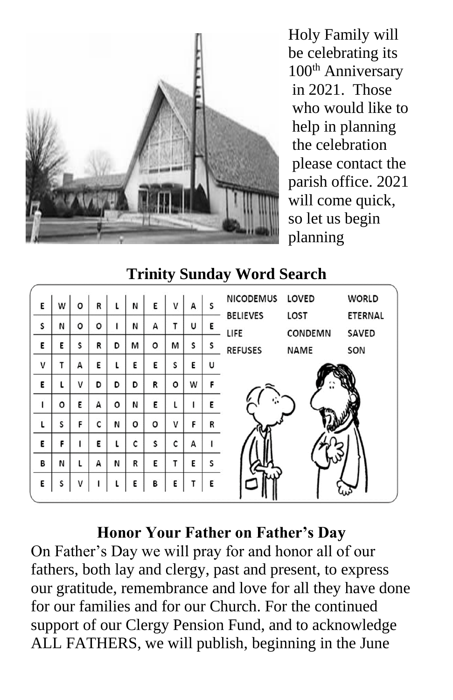

Holy Family will be celebrating its 100<sup>th</sup> Anniversary in 2021. Those who would like to help in planning the celebration please contact the parish office. 2021 will come quick, so let us begin planning

## **Trinity Sunday Word Search**

| Ε | W | o | R |   | И | E       | v | А | S | <b>NICODEMUS</b>           | LOVED           | <b>WORLD</b>            |
|---|---|---|---|---|---|---------|---|---|---|----------------------------|-----------------|-------------------------|
| S | N | ٥ | ٥ |   | N | А       | т | U | Ε | <b>BELIEVES</b><br>LIFE    | LOST<br>CONDEMN | <b>ETERNAL</b><br>SAVED |
| Ε | E | S | R | D | M | $\circ$ | М | S | s | <b>REFUSES</b>             | <b>NAME</b>     | SON                     |
| V | т | А | E |   | E | E       | S | E | U |                            |                 |                         |
| Ε | ι | v | D | D | D | R       | o | W | F |                            |                 |                         |
| ı | o | Ε | А | o | N | Ε       |   |   | E | $\mathcal{C}_{\mathbf{a}}$ |                 |                         |
| L | S | F | C | N | o | o       | v | F | R |                            |                 |                         |
| E | F |   | E |   | C | S       | c | A |   |                            |                 |                         |
| В | И | ι | А | N | R | E       | Τ | E | s |                            |                 |                         |
| E | S | v |   |   | Ε | В       | Ε |   | Ε |                            |                 |                         |

#### **Honor Your Father on Father's Day**

On Father's Day we will pray for and honor all of our fathers, both lay and clergy, past and present, to express our gratitude, remembrance and love for all they have done for our families and for our Church. For the continued support of our Clergy Pension Fund, and to acknowledge ALL FATHERS, we will publish, beginning in the June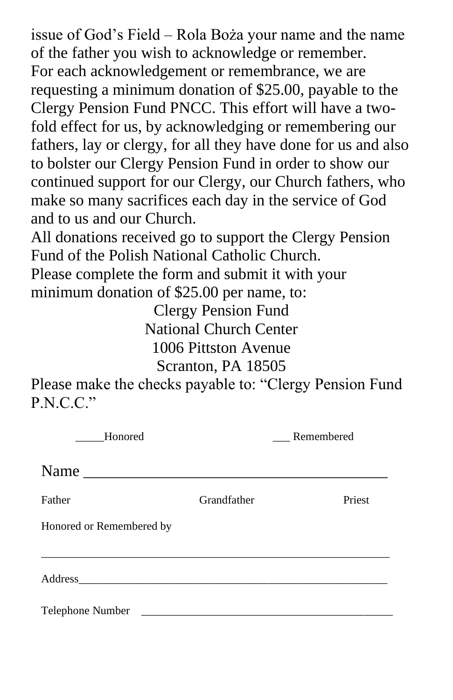issue of God's Field – Rola Boża your name and the name of the father you wish to acknowledge or remember. For each acknowledgement or remembrance, we are requesting a minimum donation of \$25.00, payable to the Clergy Pension Fund PNCC. This effort will have a twofold effect for us, by acknowledging or remembering our fathers, lay or clergy, for all they have done for us and also to bolster our Clergy Pension Fund in order to show our continued support for our Clergy, our Church fathers, who make so many sacrifices each day in the service of God and to us and our Church.

All donations received go to support the Clergy Pension Fund of the Polish National Catholic Church. Please complete the form and submit it with your minimum donation of \$25.00 per name, to:

Clergy Pension Fund National Church Center 1006 Pittston Avenue Scranton, PA 18505

Please make the checks payable to: "Clergy Pension Fund P.N.C.C."

| Honored                  |             | Remembered |
|--------------------------|-------------|------------|
|                          |             |            |
| Father                   | Grandfather | Priest     |
| Honored or Remembered by |             |            |
|                          |             |            |
|                          |             |            |
| Telephone Number         |             |            |